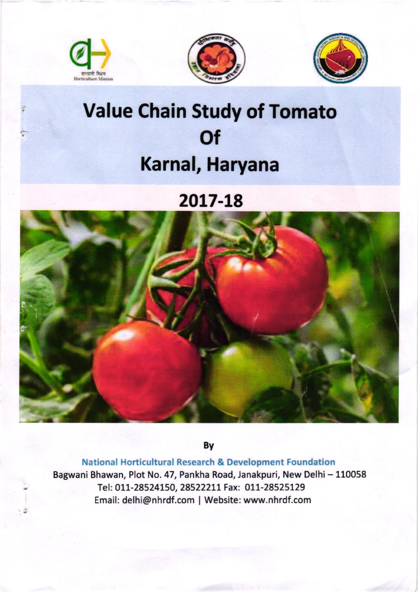





## Value Chain Study of Tomato **Of** Karnal, Haryana

2017-L8



By

National Horticultural Research & Development Foundatlon Bagwani Bhawan, Plot No. 47, Pankha Road, Janakpuri, New Delhi - 110058 Tel: 011-28524150, 28522211 Fax: 011-28525129 Email: delhi@nhrdf.com | Website: www.nhrdf.com